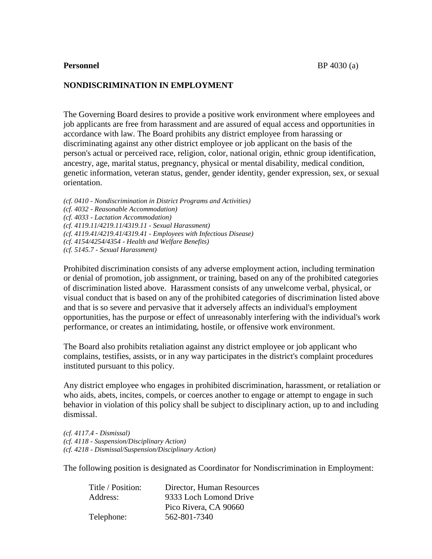## **NONDISCRIMINATION IN EMPLOYMENT**

The Governing Board desires to provide a positive work environment where employees and job applicants are free from harassment and are assured of equal access and opportunities in accordance with law. The Board prohibits any district employee from harassing or discriminating against any other district employee or job applicant on the basis of the person's actual or perceived race, religion, color, national origin, ethnic group identification, ancestry, age, marital status, pregnancy, physical or mental disability, medical condition, genetic information, veteran status, gender, gender identity, gender expression, sex, or sexual orientation.

*(cf. 0410 - Nondiscrimination in District Programs and Activities) (cf. 4032 - Reasonable Accommodation) (cf. 4033 - Lactation Accommodation) (cf. 4119.11/4219.11/4319.11 - Sexual Harassment) (cf. 4119.41/4219.41/4319.41 - Employees with Infectious Disease) (cf. 4154/4254/4354 - Health and Welfare Benefits) (cf. 5145.7 - Sexual Harassment)*

Prohibited discrimination consists of any adverse employment action, including termination or denial of promotion, job assignment, or training, based on any of the prohibited categories of discrimination listed above. Harassment consists of any unwelcome verbal, physical, or visual conduct that is based on any of the prohibited categories of discrimination listed above and that is so severe and pervasive that it adversely affects an individual's employment opportunities, has the purpose or effect of unreasonably interfering with the individual's work performance, or creates an intimidating, hostile, or offensive work environment.

The Board also prohibits retaliation against any district employee or job applicant who complains, testifies, assists, or in any way participates in the district's complaint procedures instituted pursuant to this policy.

Any district employee who engages in prohibited discrimination, harassment, or retaliation or who aids, abets, incites, compels, or coerces another to engage or attempt to engage in such behavior in violation of this policy shall be subject to disciplinary action, up to and including dismissal.

*(cf. 4117.4 - Dismissal) (cf. 4118 - Suspension/Disciplinary Action) (cf. 4218 - Dismissal/Suspension/Disciplinary Action)*

The following position is designated as Coordinator for Nondiscrimination in Employment:

| Title / Position: | Director, Human Resources |
|-------------------|---------------------------|
| Address:          | 9333 Loch Lomond Drive    |
|                   | Pico Rivera, CA 90660     |
| Telephone:        | 562-801-7340              |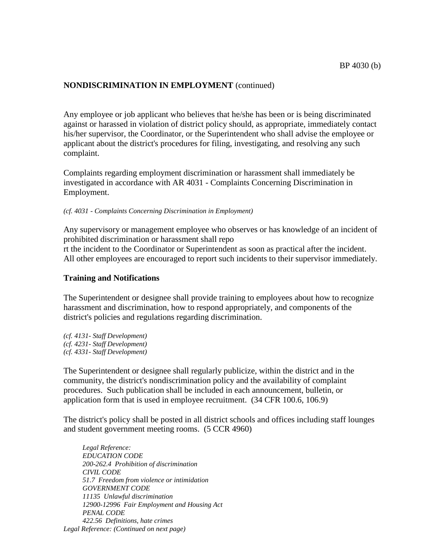Any employee or job applicant who believes that he/she has been or is being discriminated against or harassed in violation of district policy should, as appropriate, immediately contact his/her supervisor, the Coordinator, or the Superintendent who shall advise the employee or applicant about the district's procedures for filing, investigating, and resolving any such complaint.

Complaints regarding employment discrimination or harassment shall immediately be investigated in accordance with AR 4031 - Complaints Concerning Discrimination in Employment.

#### *(cf. 4031 - Complaints Concerning Discrimination in Employment)*

Any supervisory or management employee who observes or has knowledge of an incident of prohibited discrimination or harassment shall repo

rt the incident to the Coordinator or Superintendent as soon as practical after the incident. All other employees are encouraged to report such incidents to their supervisor immediately.

#### **Training and Notifications**

The Superintendent or designee shall provide training to employees about how to recognize harassment and discrimination, how to respond appropriately, and components of the district's policies and regulations regarding discrimination.

*(cf. 4131- Staff Development) (cf. 4231- Staff Development) (cf. 4331- Staff Development)*

The Superintendent or designee shall regularly publicize, within the district and in the community, the district's nondiscrimination policy and the availability of complaint procedures. Such publication shall be included in each announcement, bulletin, or application form that is used in employee recruitment. (34 CFR 100.6, 106.9)

The district's policy shall be posted in all district schools and offices including staff lounges and student government meeting rooms. (5 CCR 4960)

*Legal Reference: EDUCATION CODE 200-262.4 Prohibition of discrimination CIVIL CODE 51.7 Freedom from violence or intimidation GOVERNMENT CODE 11135 Unlawful discrimination 12900-12996 Fair Employment and Housing Act PENAL CODE 422.56 Definitions, hate crimes Legal Reference: (Continued on next page)*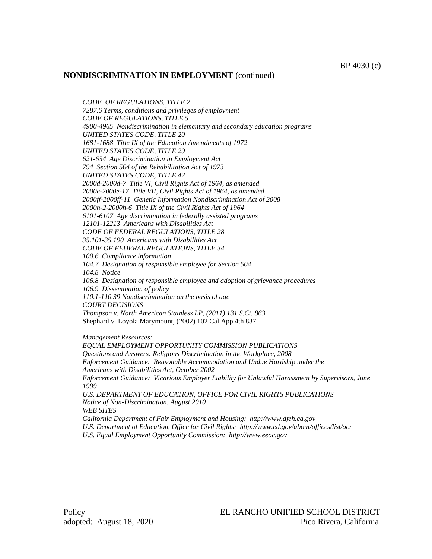*CODE OF REGULATIONS, TITLE 2*

*7287.6 Terms, conditions and privileges of employment CODE OF REGULATIONS, TITLE 5 4900-4965 Nondiscrimination in elementary and secondary education programs UNITED STATES CODE, TITLE 20 1681-1688 Title IX of the Education Amendments of 1972 UNITED STATES CODE, TITLE 29 621-634 Age Discrimination in Employment Act 794 Section 504 of the Rehabilitation Act of 1973 UNITED STATES CODE, TITLE 42 2000d-2000d-7 Title VI, Civil Rights Act of 1964, as amended 2000e-2000e-17 Title VII, Civil Rights Act of 1964, as amended 2000ff-2000ff-11 Genetic Information Nondiscrimination Act of 2008 2000h-2-2000h-6 Title IX of the Civil Rights Act of 1964 6101-6107 Age discrimination in federally assisted programs 12101-12213 Americans with Disabilities Act CODE OF FEDERAL REGULATIONS, TITLE 28 35.101-35.190 Americans with Disabilities Act CODE OF FEDERAL REGULATIONS, TITLE 34 100.6 Compliance information 104.7 Designation of responsible employee for Section 504 104.8 Notice 106.8 Designation of responsible employee and adoption of grievance procedures 106.9 Dissemination of policy 110.1-110.39 Nondiscrimination on the basis of age COURT DECISIONS Thompson v. North American Stainless LP, (2011) 131 S.Ct. 863* Shephard v. Loyola Marymount, (2002) 102 Cal.App.4th 837 *Management Resources: EQUAL EMPLOYMENT OPPORTUNITY COMMISSION PUBLICATIONS*

*Questions and Answers: Religious Discrimination in the Workplace, 2008 Enforcement Guidance: Reasonable Accommodation and Undue Hardship under the Americans with Disabilities Act, October 2002 Enforcement Guidance: Vicarious Employer Liability for Unlawful Harassment by Supervisors, June 1999 U.S. DEPARTMENT OF EDUCATION, OFFICE FOR CIVIL RIGHTS PUBLICATIONS Notice of Non-Discrimination, August 2010 WEB SITES California Department of Fair Employment and Housing: http://www.dfeh.ca.gov U.S. Department of Education, Office for Civil Rights: http://www.ed.gov/about/offices/list/ocr*

*U.S. Equal Employment Opportunity Commission: http://www.eeoc.gov*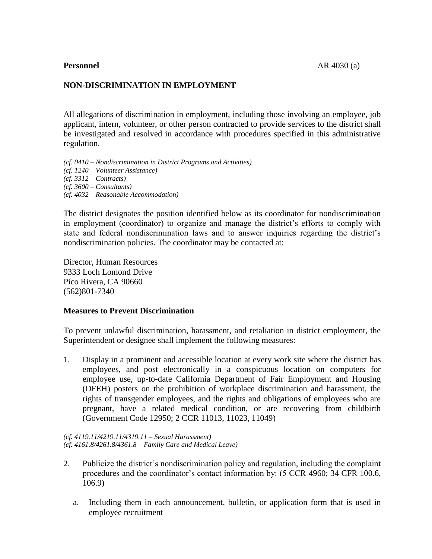# **NON-DISCRIMINATION IN EMPLOYMENT**

All allegations of discrimination in employment, including those involving an employee, job applicant, intern, volunteer, or other person contracted to provide services to the district shall be investigated and resolved in accordance with procedures specified in this administrative regulation.

*(cf. 0410 – Nondiscrimination in District Programs and Activities) (cf. 1240 – Volunteer Assistance) (cf. 3312 – Contracts) (cf. 3600 – Consultants) (cf. 4032 – Reasonable Accommodation)* 

The district designates the position identified below as its coordinator for nondiscrimination in employment (coordinator) to organize and manage the district's efforts to comply with state and federal nondiscrimination laws and to answer inquiries regarding the district's nondiscrimination policies. The coordinator may be contacted at:

Director, Human Resources 9333 Loch Lomond Drive Pico Rivera, CA 90660 (562)801-7340

### **Measures to Prevent Discrimination**

To prevent unlawful discrimination, harassment, and retaliation in district employment, the Superintendent or designee shall implement the following measures:

1. Display in a prominent and accessible location at every work site where the district has employees, and post electronically in a conspicuous location on computers for employee use, up-to-date California Department of Fair Employment and Housing (DFEH) posters on the prohibition of workplace discrimination and harassment, the rights of transgender employees, and the rights and obligations of employees who are pregnant, have a related medical condition, or are recovering from childbirth (Government Code 12950; 2 CCR 11013, 11023, 11049)

*(cf. 4119.11/4219.11/4319.11 – Sexual Harassment) (cf. 4161.8/4261.8/4361.8 – Family Care and Medical Leave)*

- 2. Publicize the district's nondiscrimination policy and regulation, including the complaint procedures and the coordinator's contact information by: (5 CCR 4960; 34 CFR 100.6, 106.9)
	- a. Including them in each announcement, bulletin, or application form that is used in employee recruitment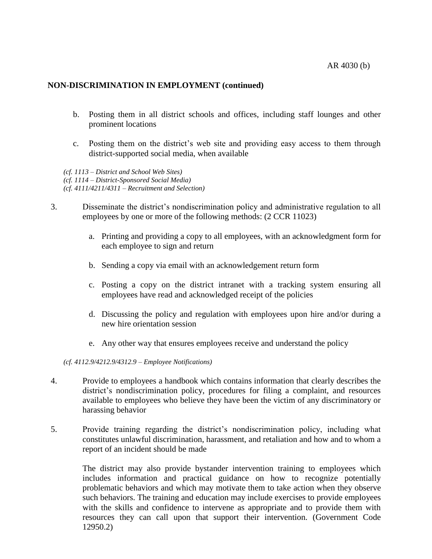- b. Posting them in all district schools and offices, including staff lounges and other prominent locations
- c. Posting them on the district's web site and providing easy access to them through district-supported social media, when available

*(cf. 1113 – District and School Web Sites) (cf. 1114 – District-Sponsored Social Media) (cf. 4111/4211/4311 – Recruitment and Selection)*

- 3. Disseminate the district's nondiscrimination policy and administrative regulation to all employees by one or more of the following methods: (2 CCR 11023)
	- a. Printing and providing a copy to all employees, with an acknowledgment form for each employee to sign and return
	- b. Sending a copy via email with an acknowledgement return form
	- c. Posting a copy on the district intranet with a tracking system ensuring all employees have read and acknowledged receipt of the policies
	- d. Discussing the policy and regulation with employees upon hire and/or during a new hire orientation session
	- e. Any other way that ensures employees receive and understand the policy

#### *(cf. 4112.9/4212.9/4312.9 – Employee Notifications)*

- 4. Provide to employees a handbook which contains information that clearly describes the district's nondiscrimination policy, procedures for filing a complaint, and resources available to employees who believe they have been the victim of any discriminatory or harassing behavior
- 5. Provide training regarding the district's nondiscrimination policy, including what constitutes unlawful discrimination, harassment, and retaliation and how and to whom a report of an incident should be made

The district may also provide bystander intervention training to employees which includes information and practical guidance on how to recognize potentially problematic behaviors and which may motivate them to take action when they observe such behaviors. The training and education may include exercises to provide employees with the skills and confidence to intervene as appropriate and to provide them with resources they can call upon that support their intervention. (Government Code 12950.2)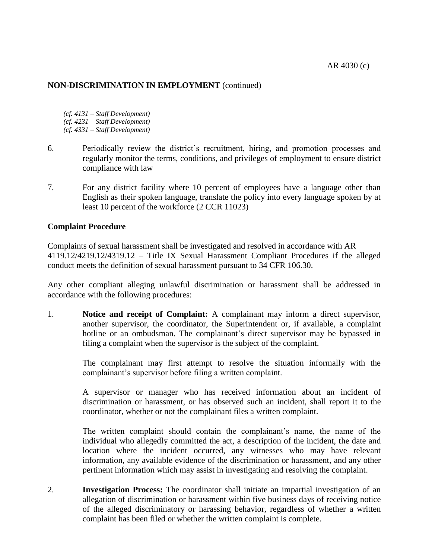- *(cf. 4131 – Staff Development) (cf. 4231 – Staff Development)*
- *(cf. 4331 – Staff Development)*
- 6. Periodically review the district's recruitment, hiring, and promotion processes and regularly monitor the terms, conditions, and privileges of employment to ensure district compliance with law
- 7. For any district facility where 10 percent of employees have a language other than English as their spoken language, translate the policy into every language spoken by at least 10 percent of the workforce (2 CCR 11023)

## **Complaint Procedure**

Complaints of sexual harassment shall be investigated and resolved in accordance with AR 4119.12/4219.12/4319.12 – Title IX Sexual Harassment Compliant Procedures if the alleged conduct meets the definition of sexual harassment pursuant to 34 CFR 106.30.

Any other compliant alleging unlawful discrimination or harassment shall be addressed in accordance with the following procedures:

1. **Notice and receipt of Complaint:** A complainant may inform a direct supervisor, another supervisor, the coordinator, the Superintendent or, if available, a complaint hotline or an ombudsman. The complainant's direct supervisor may be bypassed in filing a complaint when the supervisor is the subject of the complaint.

> The complainant may first attempt to resolve the situation informally with the complainant's supervisor before filing a written complaint.

> A supervisor or manager who has received information about an incident of discrimination or harassment, or has observed such an incident, shall report it to the coordinator, whether or not the complainant files a written complaint.

> The written complaint should contain the complainant's name, the name of the individual who allegedly committed the act, a description of the incident, the date and location where the incident occurred, any witnesses who may have relevant information, any available evidence of the discrimination or harassment, and any other pertinent information which may assist in investigating and resolving the complaint.

2. **Investigation Process:** The coordinator shall initiate an impartial investigation of an allegation of discrimination or harassment within five business days of receiving notice of the alleged discriminatory or harassing behavior, regardless of whether a written complaint has been filed or whether the written complaint is complete.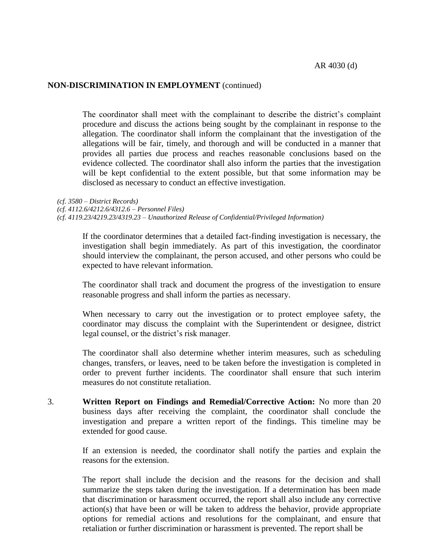The coordinator shall meet with the complainant to describe the district's complaint procedure and discuss the actions being sought by the complainant in response to the allegation. The coordinator shall inform the complainant that the investigation of the allegations will be fair, timely, and thorough and will be conducted in a manner that provides all parties due process and reaches reasonable conclusions based on the evidence collected. The coordinator shall also inform the parties that the investigation will be kept confidential to the extent possible, but that some information may be disclosed as necessary to conduct an effective investigation.

*(cf. 3580 – District Records) (cf. 4112.6/4212.6/4312.6 – Personnel Files) (cf. 4119.23/4219.23/4319.23 – Unauthorized Release of Confidential/Privileged Information)*

If the coordinator determines that a detailed fact-finding investigation is necessary, the investigation shall begin immediately. As part of this investigation, the coordinator should interview the complainant, the person accused, and other persons who could be expected to have relevant information.

The coordinator shall track and document the progress of the investigation to ensure reasonable progress and shall inform the parties as necessary.

When necessary to carry out the investigation or to protect employee safety, the coordinator may discuss the complaint with the Superintendent or designee, district legal counsel, or the district's risk manager.

The coordinator shall also determine whether interim measures, such as scheduling changes, transfers, or leaves, need to be taken before the investigation is completed in order to prevent further incidents. The coordinator shall ensure that such interim measures do not constitute retaliation.

3. **Written Report on Findings and Remedial/Corrective Action:** No more than 20 business days after receiving the complaint, the coordinator shall conclude the investigation and prepare a written report of the findings. This timeline may be extended for good cause.

> If an extension is needed, the coordinator shall notify the parties and explain the reasons for the extension.

> The report shall include the decision and the reasons for the decision and shall summarize the steps taken during the investigation. If a determination has been made that discrimination or harassment occurred, the report shall also include any corrective action(s) that have been or will be taken to address the behavior, provide appropriate options for remedial actions and resolutions for the complainant, and ensure that retaliation or further discrimination or harassment is prevented. The report shall be